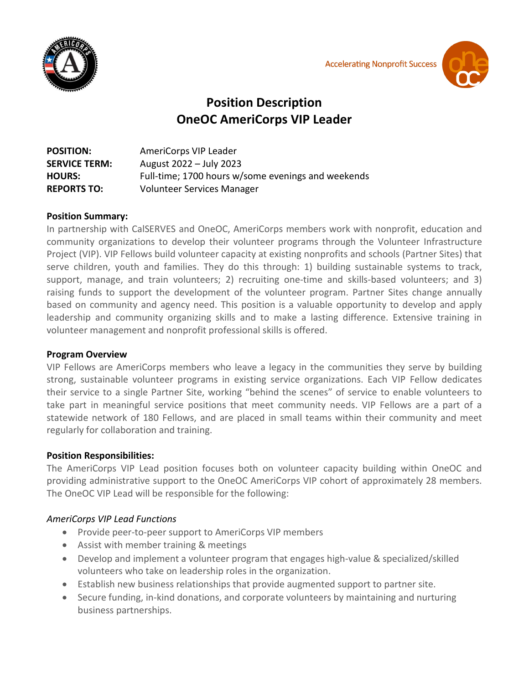

**Accelerating Nonprofit Success** 



# **Position Description OneOC AmeriCorps VIP Leader**

| <b>POSITION:</b>     | AmeriCorps VIP Leader                              |
|----------------------|----------------------------------------------------|
| <b>SERVICE TERM:</b> | August 2022 – July 2023                            |
| <b>HOURS:</b>        | Full-time; 1700 hours w/some evenings and weekends |
| <b>REPORTS TO:</b>   | <b>Volunteer Services Manager</b>                  |

### **Position Summary:**

In partnership with CalSERVES and OneOC, AmeriCorps members work with nonprofit, education and community organizations to develop their volunteer programs through the Volunteer Infrastructure Project (VIP). VIP Fellows build volunteer capacity at existing nonprofits and schools (Partner Sites) that serve children, youth and families. They do this through: 1) building sustainable systems to track, support, manage, and train volunteers; 2) recruiting one-time and skills-based volunteers; and 3) raising funds to support the development of the volunteer program. Partner Sites change annually based on community and agency need. This position is a valuable opportunity to develop and apply leadership and community organizing skills and to make a lasting difference. Extensive training in volunteer management and nonprofit professional skills is offered.

#### **Program Overview**

VIP Fellows are AmeriCorps members who leave a legacy in the communities they serve by building strong, sustainable volunteer programs in existing service organizations. Each VIP Fellow dedicates their service to a single Partner Site, working "behind the scenes" of service to enable volunteers to take part in meaningful service positions that meet community needs. VIP Fellows are a part of a statewide network of 180 Fellows, and are placed in small teams within their community and meet regularly for collaboration and training.

#### **Position Responsibilities:**

The AmeriCorps VIP Lead position focuses both on volunteer capacity building within OneOC and providing administrative support to the OneOC AmeriCorps VIP cohort of approximately 28 members. The OneOC VIP Lead will be responsible for the following:

# *AmeriCorps VIP Lead Functions*

- Provide peer-to-peer support to AmeriCorps VIP members
- Assist with member training & meetings
- Develop and implement a volunteer program that engages high-value & specialized/skilled volunteers who take on leadership roles in the organization.
- Establish new business relationships that provide augmented support to partner site.
- Secure funding, in-kind donations, and corporate volunteers by maintaining and nurturing business partnerships.